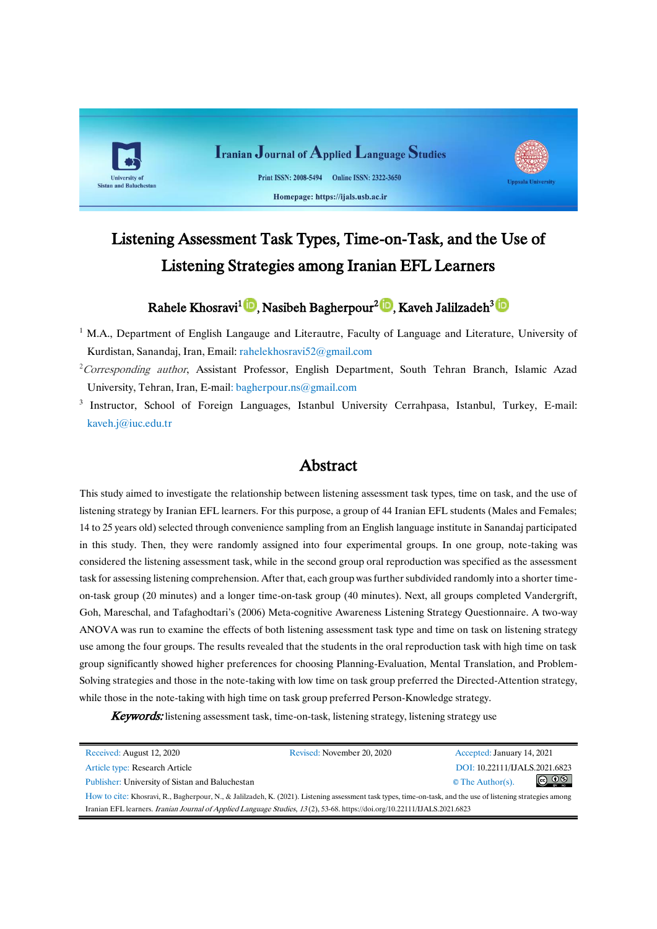

# Listening Assessment Task Types, Time-on-Task, and the Use of Listening Strategies among Iranian EFL Learners

## Rahele Khosravi<sup>1</sup> (D[,](https://orcid.org/0000-0002-0556-9998) Nasibeh Bagherpour<sup>2 (D</sup>[,](https://orcid.org/0000-0002-7129-0362) KavehJalilzadeh<sup>3 (D</sup>

 $1$  M.A., Department of English Langauge and Literautre, Faculty of Language and Literature, University of Kurdistan, Sanandaj, Iran, Email: [rahelekhosravi52@gmail.com](mailto:rahelekhosravi52@gmail.com)

- <sup>2</sup> Corresponding author, Assistant Professor, English Department, South Tehran Branch, Islamic Azad University, Tehran, Iran, E-mail: [bagherpour.ns@gmail.com](mailto:bagherpour.ns@gmail.com)
- <sup>3</sup> Instructor, School of Foreign Languages, Istanbul University Cerrahpasa, Istanbul, Turkey, E-mail: kaveh.j@iuc.edu.tr

## Abstract

This study aimed to investigate the relationship between listening assessment task types, time on task, and the use of listening strategy by Iranian EFL learners. For this purpose, a group of 44 Iranian EFL students (Males and Females; 14 to 25 years old) selected through convenience sampling from an English language institute in Sanandaj participated in this study. Then, they were randomly assigned into four experimental groups. In one group, note-taking was considered the listening assessment task, while in the second group oral reproduction was specified as the assessment task for assessing listening comprehension. After that, each group was further subdivided randomly into a shorter timeon-task group (20 minutes) and a longer time-on-task group (40 minutes). Next, all groups completed Vandergrift, Goh, Mareschal, and Tafaghodtari's (2006) Meta-cognitive Awareness Listening Strategy Questionnaire. A two-way ANOVA was run to examine the effects of both listening assessment task type and time on task on listening strategy use among the four groups. The results revealed that the students in the oral reproduction task with high time on task group significantly showed higher preferences for choosing Planning-Evaluation, Mental Translation, and Problem-Solving strategies and those in the note-taking with low time on task group preferred the Directed-Attention strategy, while those in the note-taking with high time on task group preferred Person-Knowledge strategy.

**Keywords:** listening assessment task, time-on-task, listening strategy, listening strategy use

| Received: August 12, 2020                                                                                                                                    | Revised: November 20, 2020 | Accepted: January 14, 2021               |  |  |  |  |
|--------------------------------------------------------------------------------------------------------------------------------------------------------------|----------------------------|------------------------------------------|--|--|--|--|
| Article type: Research Article                                                                                                                               |                            | DOI: 10.22111/IJALS.2021.6823            |  |  |  |  |
| Publisher: University of Sistan and Baluchestan                                                                                                              |                            | $\circledcirc$<br>$\circ$ The Author(s). |  |  |  |  |
| How to cite: Khosravi, R., Bagherpour, N., & Jalilzadeh, K. (2021). Listening assessment task types, time-on-task, and the use of listening strategies among |                            |                                          |  |  |  |  |
| Iranian EFL learners. Iranian Journal of Applied Language Studies, 13(2), 53-68. https://doi.org/10.22111/IJALS.2021.6823                                    |                            |                                          |  |  |  |  |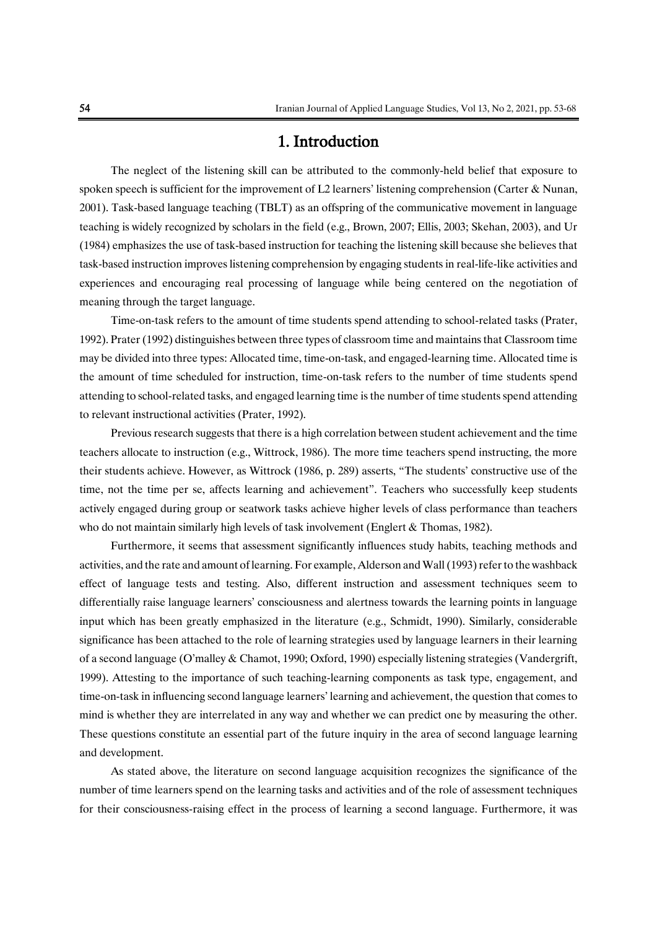## 1. Introduction

The neglect of the listening skill can be attributed to the commonly-held belief that exposure to spoken speech is sufficient for the improvement of L2 learners' listening comprehension (Carter & Nunan, 2001). Task-based language teaching (TBLT) as an offspring of the communicative movement in language teaching is widely recognized by scholars in the field (e.g., Brown, 2007; Ellis, 2003; Skehan, 2003), and Ur (1984) emphasizes the use of task-based instruction for teaching the listening skill because she believes that task-based instruction improves listening comprehension by engaging students in real-life-like activities and experiences and encouraging real processing of language while being centered on the negotiation of meaning through the target language.

Time-on-task refers to the amount of time students spend attending to school-related tasks (Prater, 1992). Prater (1992) distinguishes between three types of classroom time and maintains that Classroom time may be divided into three types: Allocated time, time-on-task, and engaged-learning time. Allocated time is the amount of time scheduled for instruction, time-on-task refers to the number of time students spend attending to school-related tasks, and engaged learning time is the number of time students spend attending to relevant instructional activities (Prater, 1992).

Previous research suggests that there is a high correlation between student achievement and the time teachers allocate to instruction (e.g., Wittrock, 1986). The more time teachers spend instructing, the more their students achieve. However, as Wittrock (1986, p. 289) asserts, "The students' constructive use of the time, not the time per se, affects learning and achievement". Teachers who successfully keep students actively engaged during group or seatwork tasks achieve higher levels of class performance than teachers who do not maintain similarly high levels of task involvement (Englert & Thomas, 1982).

Furthermore, it seems that assessment significantly influences study habits, teaching methods and activities, and the rate and amount of learning. For example, Alderson and Wall (1993) refer to the washback effect of language tests and testing. Also, different instruction and assessment techniques seem to differentially raise language learners' consciousness and alertness towards the learning points in language input which has been greatly emphasized in the literature (e.g., Schmidt, 1990). Similarly, considerable significance has been attached to the role of learning strategies used by language learners in their learning of a second language (O'malley & Chamot, 1990; Oxford, 1990) especially listening strategies (Vandergrift, 1999). Attesting to the importance of such teaching-learning components as task type, engagement, and time-on-task in influencing second language learners' learning and achievement, the question that comes to mind is whether they are interrelated in any way and whether we can predict one by measuring the other. These questions constitute an essential part of the future inquiry in the area of second language learning and development.

As stated above, the literature on second language acquisition recognizes the significance of the number of time learners spend on the learning tasks and activities and of the role of assessment techniques for their consciousness-raising effect in the process of learning a second language. Furthermore, it was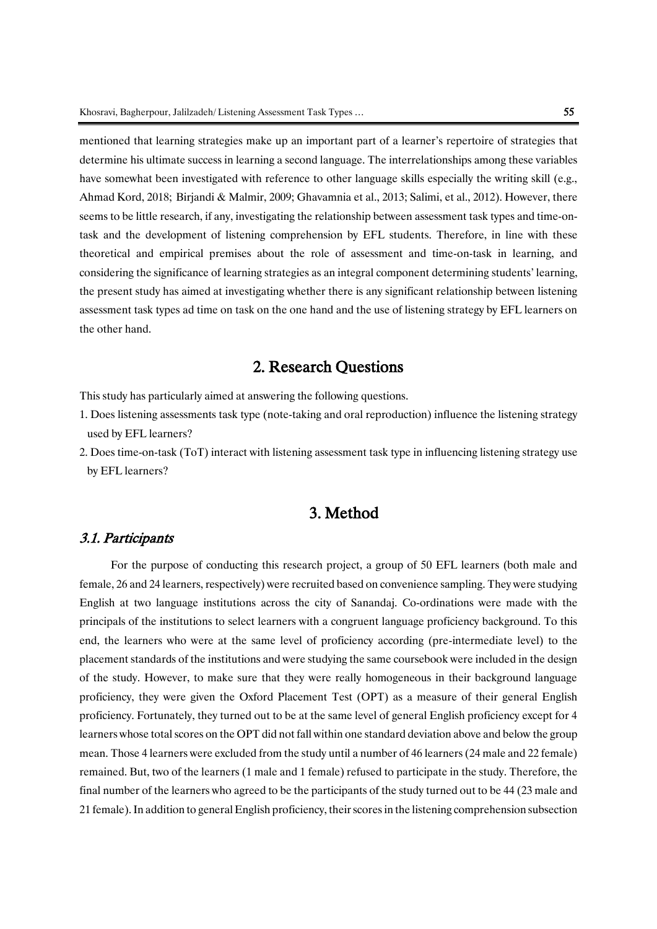mentioned that learning strategies make up an important part of a learner's repertoire of strategies that determine his ultimate success in learning a second language. The interrelationships among these variables have somewhat been investigated with reference to other language skills especially the writing skill (e.g., Ahmad Kord, 2018; Birjandi & Malmir, 2009; Ghavamnia et al., 2013; Salimi, et al., 2012). However, there seems to be little research, if any, investigating the relationship between assessment task types and time-ontask and the development of listening comprehension by EFL students. Therefore, in line with these theoretical and empirical premises about the role of assessment and time-on-task in learning, and considering the significance of learning strategies as an integral component determining students' learning, the present study has aimed at investigating whether there is any significant relationship between listening assessment task types ad time on task on the one hand and the use of listening strategy by EFL learners on the other hand.

## 2. Research Questions

This study has particularly aimed at answering the following questions.

- 1. Does listening assessments task type (note-taking and oral reproduction) influence the listening strategy used by EFL learners?
- 2. Does time-on-task (ToT) interact with listening assessment task type in influencing listening strategy use by EFL learners?

## 3. Method

#### 3.1. Participants

For the purpose of conducting this research project, a group of 50 EFL learners (both male and female, 26 and 24 learners, respectively) were recruited based on convenience sampling. They were studying English at two language institutions across the city of Sanandaj. Co-ordinations were made with the principals of the institutions to select learners with a congruent language proficiency background. To this end, the learners who were at the same level of proficiency according (pre-intermediate level) to the placement standards of the institutions and were studying the same coursebook were included in the design of the study. However, to make sure that they were really homogeneous in their background language proficiency, they were given the Oxford Placement Test (OPT) as a measure of their general English proficiency. Fortunately, they turned out to be at the same level of general English proficiency except for 4 learners whose total scores on the OPT did not fall within one standard deviation above and below the group mean. Those 4 learners were excluded from the study until a number of 46 learners (24 male and 22 female) remained. But, two of the learners (1 male and 1 female) refused to participate in the study. Therefore, the final number of the learners who agreed to be the participants of the study turned out to be 44 (23 male and 21 female). In addition to general English proficiency, their scores in the listening comprehension subsection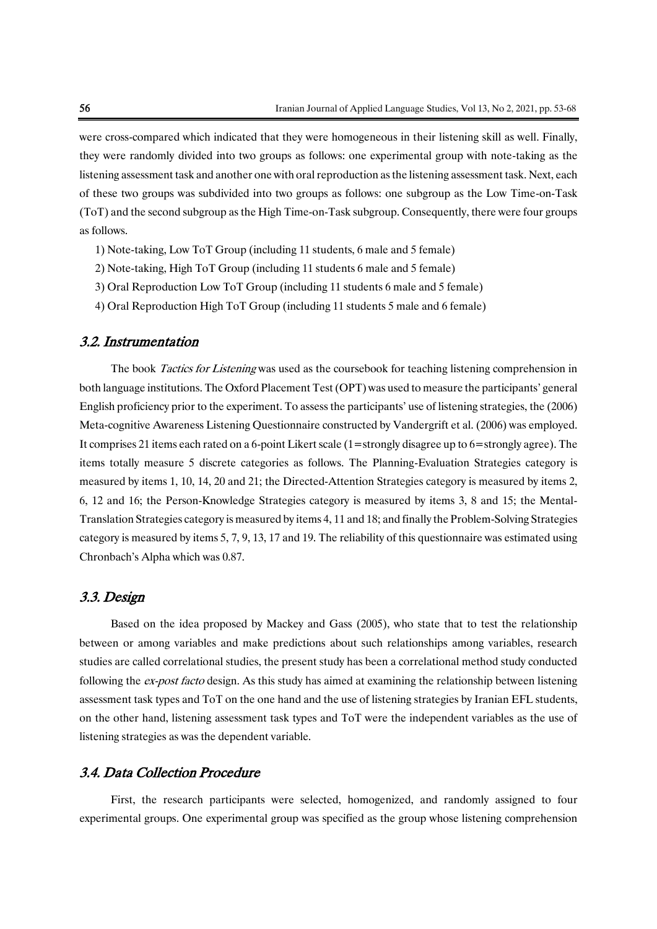were cross-compared which indicated that they were homogeneous in their listening skill as well. Finally, they were randomly divided into two groups as follows: one experimental group with note-taking as the listening assessment task and another one with oral reproduction as the listening assessment task. Next, each of these two groups was subdivided into two groups as follows: one subgroup as the Low Time-on-Task (ToT) and the second subgroup as the High Time-on-Task subgroup. Consequently, there were four groups as follows.

- 1) Note-taking, Low ToT Group (including 11 students, 6 male and 5 female)
- 2) Note-taking, High ToT Group (including 11 students 6 male and 5 female)
- 3) Oral Reproduction Low ToT Group (including 11 students 6 male and 5 female)
- 4) Oral Reproduction High ToT Group (including 11 students 5 male and 6 female)

#### 3.2. Instrumentation

The book *Tactics for Listening* was used as the coursebook for teaching listening comprehension in both language institutions. The Oxford Placement Test (OPT) was used to measure the participants' general English proficiency prior to the experiment. To assess the participants' use of listening strategies, the (2006) Meta-cognitive Awareness Listening Questionnaire constructed by Vandergrift et al. (2006) was employed. It comprises 21 items each rated on a 6-point Likert scale (1=strongly disagree up to 6=strongly agree). The items totally measure 5 discrete categories as follows. The Planning-Evaluation Strategies category is measured by items 1, 10, 14, 20 and 21; the Directed-Attention Strategies category is measured by items 2, 6, 12 and 16; the Person-Knowledge Strategies category is measured by items 3, 8 and 15; the Mental-Translation Strategies category is measured by items 4, 11 and 18; and finally the Problem-Solving Strategies category is measured by items 5, 7, 9, 13, 17 and 19. The reliability of this questionnaire was estimated using Chronbach's Alpha which was 0.87.

#### 3.3. Design

Based on the idea proposed by Mackey and Gass (2005), who state that to test the relationship between or among variables and make predictions about such relationships among variables, research studies are called correlational studies, the present study has been a correlational method study conducted following the ex-post facto design. As this study has aimed at examining the relationship between listening assessment task types and ToT on the one hand and the use of listening strategies by Iranian EFL students, on the other hand, listening assessment task types and ToT were the independent variables as the use of listening strategies as was the dependent variable.

#### 3.4. Data Collection Procedure

First, the research participants were selected, homogenized, and randomly assigned to four experimental groups. One experimental group was specified as the group whose listening comprehension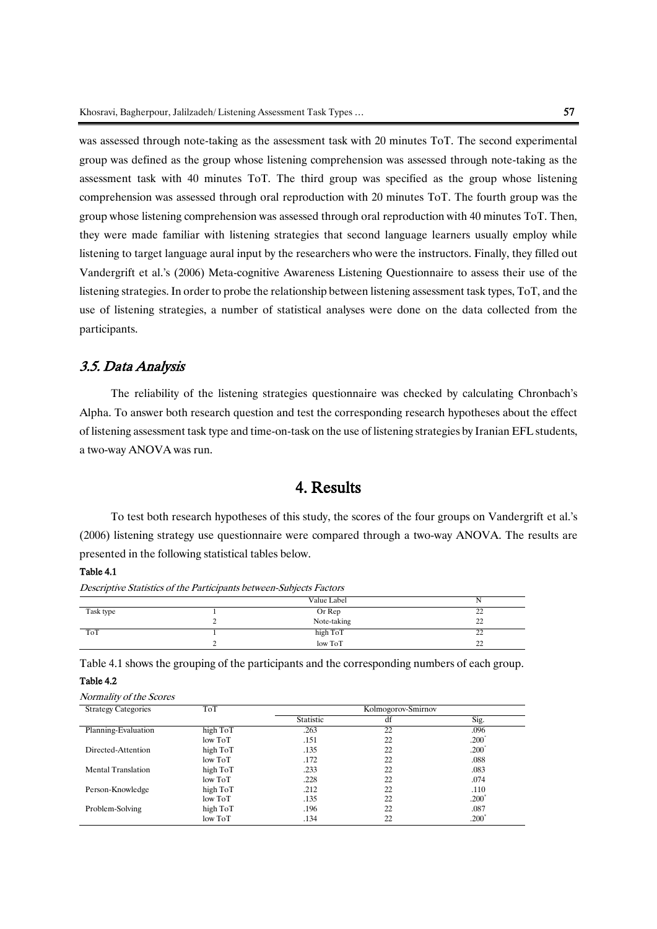was assessed through note-taking as the assessment task with 20 minutes ToT. The second experimental group was defined as the group whose listening comprehension was assessed through note-taking as the assessment task with 40 minutes ToT. The third group was specified as the group whose listening comprehension was assessed through oral reproduction with 20 minutes ToT. The fourth group was the group whose listening comprehension was assessed through oral reproduction with 40 minutes ToT. Then, they were made familiar with listening strategies that second language learners usually employ while listening to target language aural input by the researchers who were the instructors. Finally, they filled out Vandergrift et al.'s (2006) Meta-cognitive Awareness Listening Questionnaire to assess their use of the listening strategies. In order to probe the relationship between listening assessment task types, ToT, and the use of listening strategies, a number of statistical analyses were done on the data collected from the participants.

#### 3.5. Data Analysis

The reliability of the listening strategies questionnaire was checked by calculating Chronbach's Alpha. To answer both research question and test the corresponding research hypotheses about the effect of listening assessment task type and time-on-task on the use of listening strategies by Iranian EFL students, a two-way ANOVA was run.

## 4. Results

To test both research hypotheses of this study, the scores of the four groups on Vandergrift et al.'s (2006) listening strategy use questionnaire were compared through a two-way ANOVA. The results are presented in the following statistical tables below.

#### Table 4.1

Descriptive Statistics of the Participants between-Subjects Factors

|           | Value Label |                     |
|-----------|-------------|---------------------|
| Task type | Or Rep      | $\mathcal{D}$<br>∠∠ |
|           | Note-taking | 22                  |
| ToT       | high ToT    | nn<br>∠∠            |
|           | low ToT     | $\mathcal{D}$<br>∸  |

Table 4.1 shows the grouping of the participants and the corresponding numbers of each group. Table 4.2

| <b>Strategy Categories</b> | ToT      |           | Kolmogorov-Smirnov |                   |
|----------------------------|----------|-----------|--------------------|-------------------|
|                            |          | Statistic | df                 | Sig.              |
| Planning-Evaluation        | high ToT | .263      | 22                 | .096              |
|                            | low ToT  | .151      | 22                 | .200 <sup>°</sup> |
| Directed-Attention         | high ToT | .135      | 22                 | .200 <sup>°</sup> |
|                            | low ToT  | .172      | 22                 | .088              |
| <b>Mental Translation</b>  | high ToT | .233      | 22                 | .083              |
|                            | low ToT  | .228      | 22                 | .074              |
| Person-Knowledge           | high ToT | .212      | 22                 | .110              |
|                            | low ToT  | .135      | 22                 | .200 <sup>°</sup> |
| Problem-Solving            | high ToT | .196      | 22                 | .087              |
|                            | low ToT  | .134      | 22                 | $.200^{\circ}$    |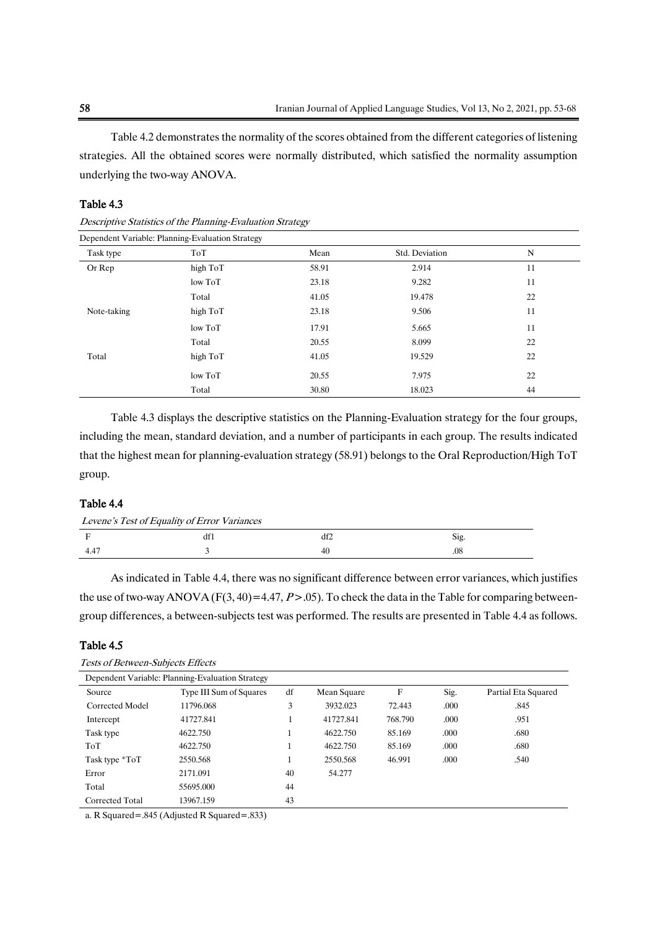Table 4.2 demonstrates the normality of the scores obtained from the different categories of listening strategies. All the obtained scores were normally distributed, which satisfied the normality assumption underlying the two-way ANOVA.

#### Table 4.3

| Dependent Variable: Planning-Evaluation Strategy |          |       |                |             |  |  |  |
|--------------------------------------------------|----------|-------|----------------|-------------|--|--|--|
| Task type                                        | ToT      | Mean  | Std. Deviation | $\mathbf N$ |  |  |  |
| Or Rep                                           | high ToT | 58.91 | 2.914          | 11          |  |  |  |
|                                                  | low ToT  | 23.18 | 9.282          | 11          |  |  |  |
|                                                  | Total    | 41.05 | 19.478         | 22          |  |  |  |
| Note-taking                                      | high ToT | 23.18 | 9.506          | 11          |  |  |  |
|                                                  | low ToT  | 17.91 | 5.665          | 11          |  |  |  |
|                                                  | Total    | 20.55 | 8.099          | 22          |  |  |  |
| Total                                            | high ToT | 41.05 | 19.529         | 22          |  |  |  |
|                                                  | low ToT  | 20.55 | 7.975          | 22          |  |  |  |
|                                                  | Total    | 30.80 | 18.023         | 44          |  |  |  |

Descriptive Statistics of the Planning-Evaluation Strategy

Table 4.3 displays the descriptive statistics on the Planning-Evaluation strategy for the four groups, including the mean, standard deviation, and a number of participants in each group. The results indicated that the highest mean for planning-evaluation strategy (58.91) belongs to the Oral Reproduction/High ToT group.

#### Table 4.4

| Levene's Test of Equality of Error Variances |  |    |          |  |  |
|----------------------------------------------|--|----|----------|--|--|
|                                              |  |    | Sig.     |  |  |
| 4.47                                         |  | 40 | $_{.08}$ |  |  |

As indicated in Table 4.4, there was no significant difference between error variances, which justifies the use of two-way ANOVA ( $F(3, 40) = 4.47$ ,  $P > .05$ ). To check the data in the Table for comparing betweengroup differences, a between-subjects test was performed. The results are presented in Table 4.4 as follows.

#### Table 4.5

| Dependent Variable: Planning-Evaluation Strategy |                         |    |             |         |      |                     |
|--------------------------------------------------|-------------------------|----|-------------|---------|------|---------------------|
| Source                                           | Type III Sum of Squares | df | Mean Square | F       | Sig. | Partial Eta Squared |
| Corrected Model                                  | 11796.068               | 3  | 3932.023    | 72.443  | .000 | .845                |
| Intercept                                        | 41727.841               | 1  | 41727.841   | 768.790 | .000 | .951                |
| Task type                                        | 4622.750                |    | 4622.750    | 85.169  | .000 | .680                |
| ToT                                              | 4622.750                |    | 4622.750    | 85.169  | .000 | .680                |
| Task type *ToT                                   | 2550.568                |    | 2550.568    | 46.991  | .000 | .540                |
| Error                                            | 2171.091                | 40 | 54.277      |         |      |                     |
| Total                                            | 55695,000               | 44 |             |         |      |                     |
| Corrected Total                                  | 13967.159               | 43 |             |         |      |                     |

a. R Squared=.845 (Adjusted R Squared=.833)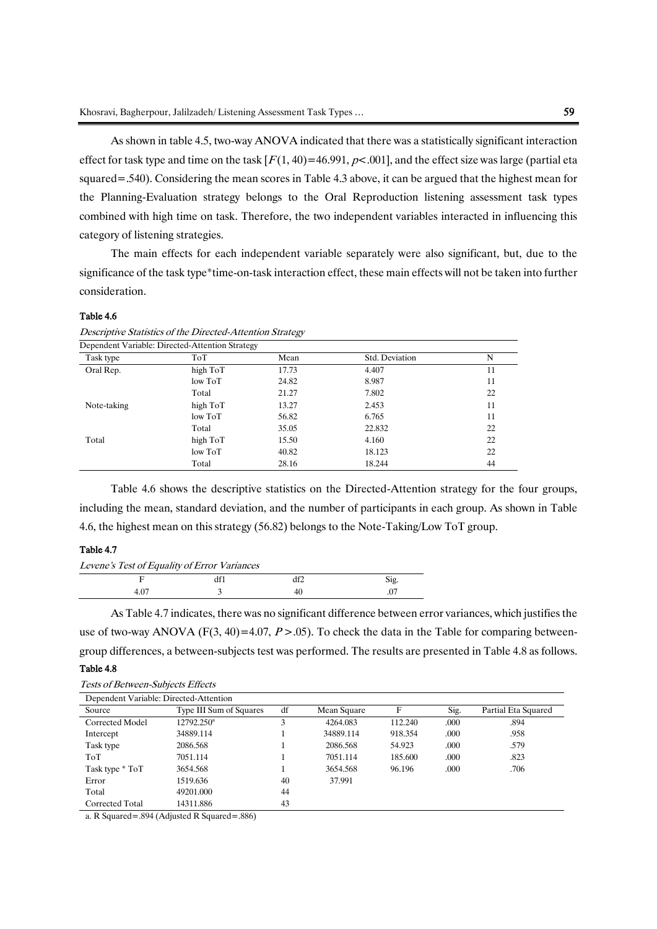As shown in table 4.5, two-way ANOVA indicated that there was a statistically significant interaction effect for task type and time on the task  $[F(1, 40) = 46.991, p < .001]$ , and the effect size was large (partial eta squared=.540). Considering the mean scores in Table 4.3 above, it can be argued that the highest mean for the Planning-Evaluation strategy belongs to the Oral Reproduction listening assessment task types combined with high time on task. Therefore, the two independent variables interacted in influencing this

category of listening strategies.

The main effects for each independent variable separately were also significant, but, due to the significance of the task type\*time-on-task interaction effect, these main effects will not be taken into further consideration.

#### Table 4.6

Descriptive Statistics of the Directed-Attention Strategy

| Dependent Variable: Directed-Attention Strategy |          |       |                |    |
|-------------------------------------------------|----------|-------|----------------|----|
| Task type                                       | ToT      | Mean  | Std. Deviation | N  |
| Oral Rep.                                       | high ToT | 17.73 | 4.407          | 11 |
|                                                 | low ToT  | 24.82 | 8.987          | 11 |
|                                                 | Total    | 21.27 | 7.802          | 22 |
| Note-taking                                     | high ToT | 13.27 | 2.453          | 11 |
|                                                 | low ToT  | 56.82 | 6.765          | 11 |
|                                                 | Total    | 35.05 | 22.832         | 22 |
| Total                                           | high ToT | 15.50 | 4.160          | 22 |
|                                                 | low ToT  | 40.82 | 18.123         | 22 |
|                                                 | Total    | 28.16 | 18.244         | 44 |

Table 4.6 shows the descriptive statistics on the Directed-Attention strategy for the four groups, including the mean, standard deviation, and the number of participants in each group. As shown in Table 4.6, the highest mean on this strategy (56.82) belongs to the Note-Taking/Low ToT group.

#### Table 4.7

| Levene's Test of Equality of Error Variances |  |     |      |  |  |  |
|----------------------------------------------|--|-----|------|--|--|--|
|                                              |  | df2 | Sig. |  |  |  |
| 4 O.                                         |  | 40  |      |  |  |  |

As Table 4.7 indicates, there was no significant difference between error variances, which justifies the use of two-way ANOVA (F(3, 40)=4.07, P > .05). To check the data in the Table for comparing betweengroup differences, a between-subjects test was performed. The results are presented in Table 4.8 as follows.

#### Table 4.8

| Dependent Variable: Directed-Attention |                         |    |             |         |      |                     |
|----------------------------------------|-------------------------|----|-------------|---------|------|---------------------|
| Source                                 | Type III Sum of Squares | df | Mean Square | F       | Sig. | Partial Eta Squared |
| Corrected Model                        | $12792.250^a$           | 3  | 4264.083    | 112.240 | .000 | .894                |
| Intercept                              | 34889.114               |    | 34889.114   | 918.354 | .000 | .958                |
| Task type                              | 2086.568                |    | 2086.568    | 54.923  | .000 | .579                |
| ToT                                    | 7051.114                |    | 7051.114    | 185.600 | .000 | .823                |
| Task type * ToT                        | 3654.568                |    | 3654.568    | 96.196  | .000 | .706                |
| Error                                  | 1519.636                | 40 | 37.991      |         |      |                     |
| Total                                  | 49201.000               | 44 |             |         |      |                     |
| Corrected Total                        | 14311.886               | 43 |             |         |      |                     |

a. R Squared=.894 (Adjusted R Squared=.886)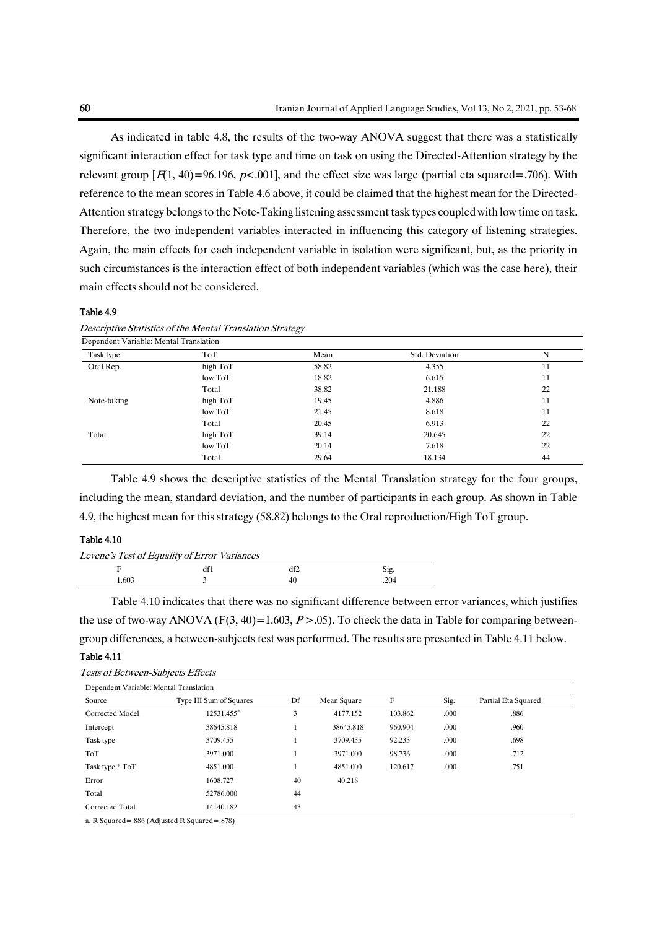As indicated in table 4.8, the results of the two-way ANOVA suggest that there was a statistically significant interaction effect for task type and time on task on using the Directed-Attention strategy by the relevant group  $[F(1, 40) = 96.196, p < .001]$ , and the effect size was large (partial eta squared=.706). With reference to the mean scores in Table 4.6 above, it could be claimed that the highest mean for the Directed-Attention strategy belongs to the Note-Taking listening assessment task types coupled with low time on task. Therefore, the two independent variables interacted in influencing this category of listening strategies. Again, the main effects for each independent variable in isolation were significant, but, as the priority in such circumstances is the interaction effect of both independent variables (which was the case here), their main effects should not be considered.

#### Table 4.9

| Dependent Variable: Mental Translation |          |       |                |    |  |  |  |
|----------------------------------------|----------|-------|----------------|----|--|--|--|
| Task type                              | ToT      | Mean  | Std. Deviation | N  |  |  |  |
| Oral Rep.                              | high ToT | 58.82 | 4.355          | 11 |  |  |  |
|                                        | low ToT  | 18.82 | 6.615          | 11 |  |  |  |
|                                        | Total    | 38.82 | 21.188         | 22 |  |  |  |
| Note-taking                            | high ToT | 19.45 | 4.886          | 11 |  |  |  |
|                                        | low ToT  | 21.45 | 8.618          | 11 |  |  |  |
|                                        | Total    | 20.45 | 6.913          | 22 |  |  |  |
| Total                                  | high ToT | 39.14 | 20.645         | 22 |  |  |  |
|                                        | low ToT  | 20.14 | 7.618          | 22 |  |  |  |
|                                        | Total    | 29.64 | 18.134         | 44 |  |  |  |

|  |  | Descriptive Statistics of the Mental Translation Strategy |  |
|--|--|-----------------------------------------------------------|--|
|  |  |                                                           |  |

Table 4.9 shows the descriptive statistics of the Mental Translation strategy for the four groups, including the mean, standard deviation, and the number of participants in each group. As shown in Table 4.9, the highest mean for this strategy (58.82) belongs to the Oral reproduction/High ToT group.

#### Table 4.10

| Levene's Test of Equality of Error Variances |  |
|----------------------------------------------|--|
|----------------------------------------------|--|

|                | 1.01 | .<br>ul∠ | ה ה<br>$\cup$<br>c |
|----------------|------|----------|--------------------|
| 1.603<br>----- |      | тν       | רט<br>. .          |
|                |      |          |                    |

Table 4.10 indicates that there was no significant difference between error variances, which justifies the use of two-way ANOVA (F(3, 40)=1.603, P > .05). To check the data in Table for comparing betweengroup differences, a between-subjects test was performed. The results are presented in Table 4.11 below.

#### Table 4.11

| <b>Tests of Between-Subjects Effects</b> |  |
|------------------------------------------|--|
|------------------------------------------|--|

| Dependent Variable: Mental Translation |                         |    |             |         |      |                     |  |
|----------------------------------------|-------------------------|----|-------------|---------|------|---------------------|--|
| Source                                 | Type III Sum of Squares | Df | Mean Square | F       | Sig. | Partial Eta Squared |  |
| Corrected Model                        | 12531.455 <sup>a</sup>  | 3  | 4177.152    | 103.862 | .000 | .886                |  |
| Intercept                              | 38645.818               |    | 38645.818   | 960.904 | .000 | .960                |  |
| Task type                              | 3709.455                |    | 3709.455    | 92.233  | .000 | .698                |  |
| ToT                                    | 3971.000                |    | 3971.000    | 98.736  | .000 | .712                |  |
| Task type * ToT                        | 4851.000                |    | 4851.000    | 120.617 | .000 | .751                |  |
| Error                                  | 1608.727                | 40 | 40.218      |         |      |                     |  |
| Total                                  | 52786.000               | 44 |             |         |      |                     |  |
| Corrected Total                        | 14140.182               | 43 |             |         |      |                     |  |

a. R Squared=.886 (Adjusted R Squared=.878)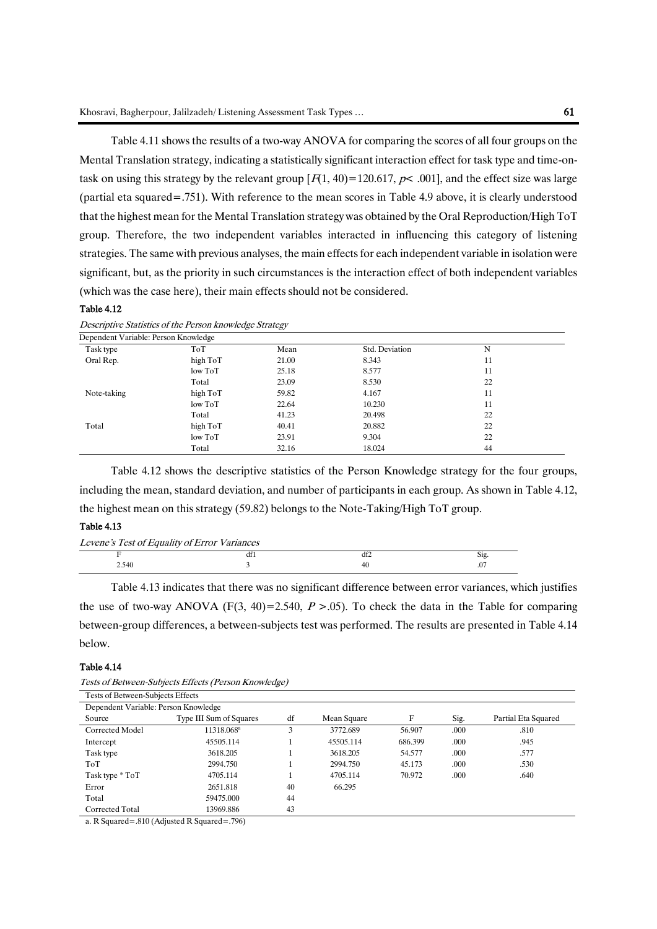Table 4.11 shows the results of a two-way ANOVA for comparing the scores of all four groups on the Mental Translation strategy, indicating a statistically significant interaction effect for task type and time-ontask on using this strategy by the relevant group  $[F(1, 40) = 120.617, p < .001]$ , and the effect size was large (partial eta squared=.751). With reference to the mean scores in Table 4.9 above, it is clearly understood that the highest mean for the Mental Translation strategy was obtained by the Oral Reproduction/High ToT group. Therefore, the two independent variables interacted in influencing this category of listening strategies. The same with previous analyses, the main effects for each independent variable in isolation were significant, but, as the priority in such circumstances is the interaction effect of both independent variables (which was the case here), their main effects should not be considered.

#### Table 4.12

|                                      |          | --    |                |    |  |
|--------------------------------------|----------|-------|----------------|----|--|
| Dependent Variable: Person Knowledge |          |       |                |    |  |
| Task type                            | ToT      | Mean  | Std. Deviation | N  |  |
| Oral Rep.                            | high ToT | 21.00 | 8.343          | 11 |  |
|                                      | low ToT  | 25.18 | 8.577          | 11 |  |
|                                      | Total    | 23.09 | 8.530          | 22 |  |
| Note-taking                          | high ToT | 59.82 | 4.167          | 11 |  |
|                                      | low ToT  | 22.64 | 10.230         | 11 |  |
|                                      | Total    | 41.23 | 20.498         | 22 |  |
| Total                                | high ToT | 40.41 | 20.882         | 22 |  |
|                                      | low ToT  | 23.91 | 9.304          | 22 |  |
|                                      | Total    | 32.16 | 18.024         | 44 |  |

Descriptive Statistics of the Person knowledge Strategy

Table 4.12 shows the descriptive statistics of the Person Knowledge strategy for the four groups, including the mean, standard deviation, and number of participants in each group. As shown in Table 4.12, the highest mean on this strategy (59.82) belongs to the Note-Taking/High ToT group.

#### Table 4.13

| Levene's Test of Equality of Error Variances |    |     |
|----------------------------------------------|----|-----|
|                                              |    | 212 |
| 2.540                                        | 41 |     |

Table 4.13 indicates that there was no significant difference between error variances, which justifies the use of two-way ANOVA (F(3, 40)=2.540, P >.05). To check the data in the Table for comparing between-group differences, a between-subjects test was performed. The results are presented in Table 4.14 below.

#### Table 4.14

| Tests of Between-Subjects Effects    |                         |    |             |         |      |                     |  |  |  |
|--------------------------------------|-------------------------|----|-------------|---------|------|---------------------|--|--|--|
| Dependent Variable: Person Knowledge |                         |    |             |         |      |                     |  |  |  |
| Source                               | Type III Sum of Squares | df | Mean Square | F       | Sig. | Partial Eta Squared |  |  |  |
| Corrected Model                      | 11318.068 <sup>a</sup>  | 3  | 3772.689    | 56.907  | .000 | .810                |  |  |  |
| Intercept                            | 45505.114               |    | 45505.114   | 686.399 | .000 | .945                |  |  |  |
| Task type                            | 3618.205                |    | 3618.205    | 54.577  | .000 | .577                |  |  |  |
| ToT                                  | 2994.750                |    | 2994.750    | 45.173  | .000 | .530                |  |  |  |
| Task type * ToT                      | 4705.114                |    | 4705.114    | 70.972  | .000 | .640                |  |  |  |
| Error                                | 2651.818                | 40 | 66.295      |         |      |                     |  |  |  |
| Total                                | 59475.000               | 44 |             |         |      |                     |  |  |  |
| Corrected Total                      | 13969.886               | 43 |             |         |      |                     |  |  |  |

a. R Squared=.810 (Adjusted R Squared=.796)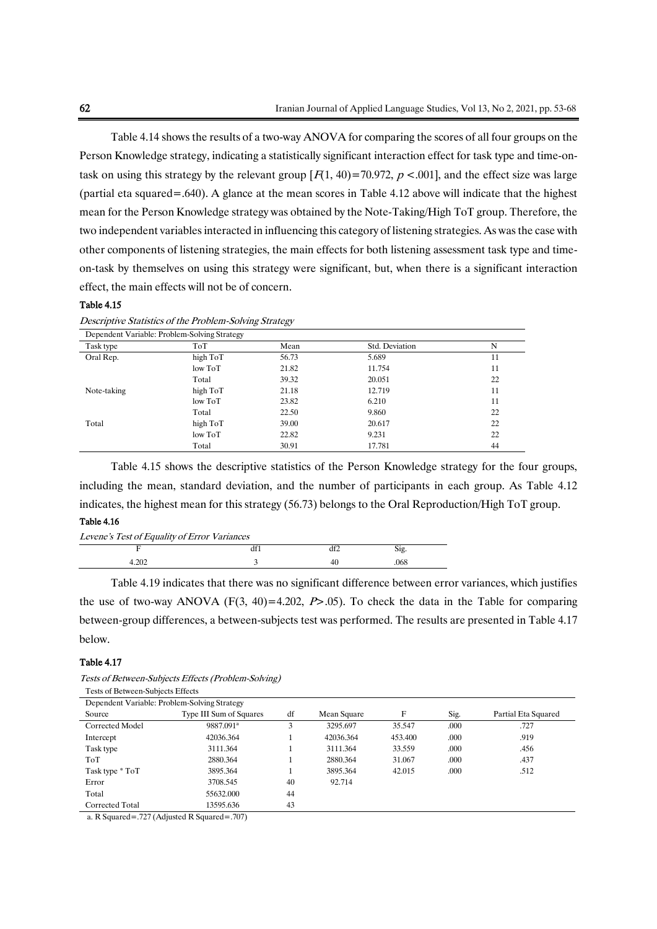Table 4.14 shows the results of a two-way ANOVA for comparing the scores of all four groups on the Person Knowledge strategy, indicating a statistically significant interaction effect for task type and time-ontask on using this strategy by the relevant group  $[F(1, 40) = 70.972, p < .001]$ , and the effect size was large (partial eta squared=.640). A glance at the mean scores in Table 4.12 above will indicate that the highest mean for the Person Knowledge strategy was obtained by the Note-Taking/High ToT group. Therefore, the two independent variables interacted in influencing this category of listening strategies. As was the case with other components of listening strategies, the main effects for both listening assessment task type and timeon-task by themselves on using this strategy were significant, but, when there is a significant interaction effect, the main effects will not be of concern.

#### Table 4.15

|             | Dependent Variable: Problem-Solving Strategy |       |                |    |  |  |  |
|-------------|----------------------------------------------|-------|----------------|----|--|--|--|
| Task type   | ToT                                          | Mean  | Std. Deviation | N  |  |  |  |
| Oral Rep.   | high ToT                                     | 56.73 | 5.689          | 11 |  |  |  |
|             | low ToT                                      | 21.82 | 11.754         | 11 |  |  |  |
|             | Total                                        | 39.32 | 20.051         | 22 |  |  |  |
| Note-taking | high ToT                                     | 21.18 | 12.719         | 11 |  |  |  |
|             | low ToT                                      | 23.82 | 6.210          | 11 |  |  |  |
|             | Total                                        | 22.50 | 9.860          | 22 |  |  |  |
| Total       | high ToT                                     | 39.00 | 20.617         | 22 |  |  |  |
|             | low ToT                                      | 22.82 | 9.231          | 22 |  |  |  |
|             | Total                                        | 30.91 | 17.781         | 44 |  |  |  |

Descriptive Statistics of the Problem-Solving Strategy

Table 4.15 shows the descriptive statistics of the Person Knowledge strategy for the four groups, including the mean, standard deviation, and the number of participants in each group. As Table 4.12 indicates, the highest mean for this strategy (56.73) belongs to the Oral Reproduction/High ToT group.

#### Table 4.16

| Levene's Test of Equality of Error Variances |  |    |      |  |  |
|----------------------------------------------|--|----|------|--|--|
|                                              |  |    | S12. |  |  |
| 4.202                                        |  | 40 | .068 |  |  |
|                                              |  |    |      |  |  |

Table 4.19 indicates that there was no significant difference between error variances, which justifies the use of two-way ANOVA (F(3, 40)=4.202, P>.05). To check the data in the Table for comparing between-group differences, a between-subjects test was performed. The results are presented in Table 4.17 below.

#### Table 4.17

| Dependent Variable: Problem-Solving Strategy |                         |    |             |         |      |                     |  |  |
|----------------------------------------------|-------------------------|----|-------------|---------|------|---------------------|--|--|
| Source                                       | Type III Sum of Squares | df | Mean Square | F       | Sig. | Partial Eta Squared |  |  |
| Corrected Model                              | 9887.091 <sup>a</sup>   | 3  | 3295.697    | 35.547  | .000 | .727                |  |  |
| Intercept                                    | 42036.364               |    | 42036.364   | 453.400 | .000 | .919                |  |  |
| Task type                                    | 3111.364                |    | 3111.364    | 33.559  | .000 | .456                |  |  |
| ToT                                          | 2880.364                |    | 2880.364    | 31.067  | .000 | .437                |  |  |
| Task type * ToT                              | 3895.364                |    | 3895.364    | 42.015  | .000 | .512                |  |  |
| Error                                        | 3708.545                | 40 | 92.714      |         |      |                     |  |  |
| Total                                        | 55632.000               | 44 |             |         |      |                     |  |  |
| Corrected Total                              | 13595.636               | 43 |             |         |      |                     |  |  |

Tests of Between-Subjects Effects (Problem-Solving) Tests of Between-Subjects Effects

a. R Squared=.727 (Adjusted R Squared=.707)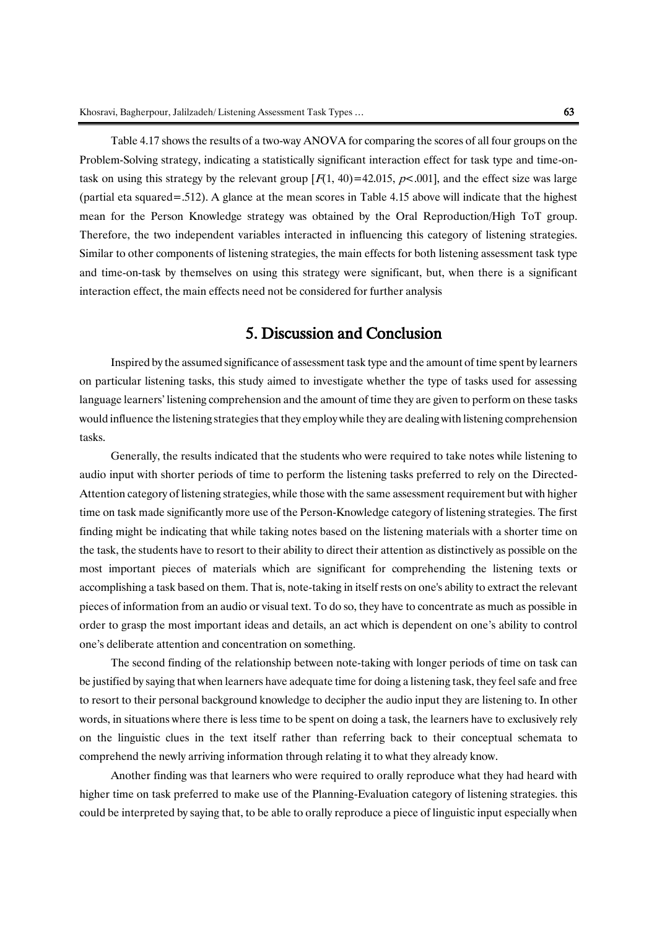Table 4.17 shows the results of a two-way ANOVA for comparing the scores of all four groups on the Problem-Solving strategy, indicating a statistically significant interaction effect for task type and time-ontask on using this strategy by the relevant group  $[F(1, 40) = 42.015, p < .001]$ , and the effect size was large (partial eta squared=.512). A glance at the mean scores in Table 4.15 above will indicate that the highest mean for the Person Knowledge strategy was obtained by the Oral Reproduction/High ToT group. Therefore, the two independent variables interacted in influencing this category of listening strategies. Similar to other components of listening strategies, the main effects for both listening assessment task type and time-on-task by themselves on using this strategy were significant, but, when there is a significant interaction effect, the main effects need not be considered for further analysis

## 5. Discussion and Conclusion

Inspired by the assumed significance of assessment task type and the amount of time spent by learners on particular listening tasks, this study aimed to investigate whether the type of tasks used for assessing language learners' listening comprehension and the amount of time they are given to perform on these tasks would influence the listening strategies that they employ while they are dealing with listening comprehension tasks.

Generally, the results indicated that the students who were required to take notes while listening to audio input with shorter periods of time to perform the listening tasks preferred to rely on the Directed-Attention category of listening strategies, while those with the same assessment requirement but with higher time on task made significantly more use of the Person-Knowledge category of listening strategies. The first finding might be indicating that while taking notes based on the listening materials with a shorter time on the task, the students have to resort to their ability to direct their attention as distinctively as possible on the most important pieces of materials which are significant for comprehending the listening texts or accomplishing a task based on them. That is, note-taking in itself rests on one's ability to extract the relevant pieces of information from an audio or visual text. To do so, they have to concentrate as much as possible in order to grasp the most important ideas and details, an act which is dependent on one's ability to control one's deliberate attention and concentration on something.

The second finding of the relationship between note-taking with longer periods of time on task can be justified by saying that when learners have adequate time for doing a listening task, they feel safe and free to resort to their personal background knowledge to decipher the audio input they are listening to. In other words, in situations where there is less time to be spent on doing a task, the learners have to exclusively rely on the linguistic clues in the text itself rather than referring back to their conceptual schemata to comprehend the newly arriving information through relating it to what they already know.

Another finding was that learners who were required to orally reproduce what they had heard with higher time on task preferred to make use of the Planning-Evaluation category of listening strategies. this could be interpreted by saying that, to be able to orally reproduce a piece of linguistic input especially when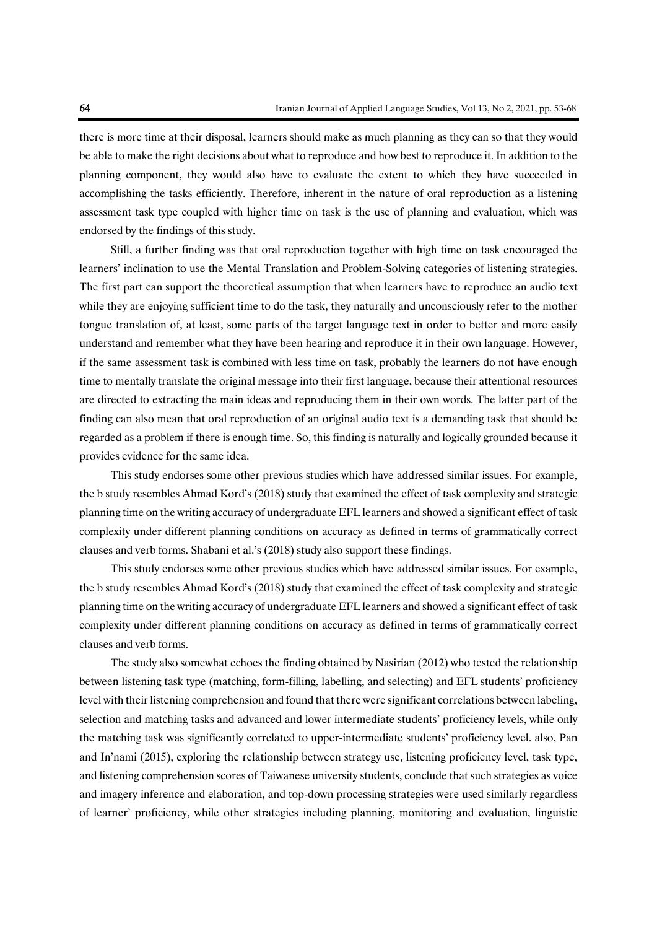there is more time at their disposal, learners should make as much planning as they can so that they would be able to make the right decisions about what to reproduce and how best to reproduce it. In addition to the planning component, they would also have to evaluate the extent to which they have succeeded in accomplishing the tasks efficiently. Therefore, inherent in the nature of oral reproduction as a listening assessment task type coupled with higher time on task is the use of planning and evaluation, which was endorsed by the findings of this study.

Still, a further finding was that oral reproduction together with high time on task encouraged the learners' inclination to use the Mental Translation and Problem-Solving categories of listening strategies. The first part can support the theoretical assumption that when learners have to reproduce an audio text while they are enjoying sufficient time to do the task, they naturally and unconsciously refer to the mother tongue translation of, at least, some parts of the target language text in order to better and more easily understand and remember what they have been hearing and reproduce it in their own language. However, if the same assessment task is combined with less time on task, probably the learners do not have enough time to mentally translate the original message into their first language, because their attentional resources are directed to extracting the main ideas and reproducing them in their own words. The latter part of the finding can also mean that oral reproduction of an original audio text is a demanding task that should be regarded as a problem if there is enough time. So, this finding is naturally and logically grounded because it provides evidence for the same idea.

This study endorses some other previous studies which have addressed similar issues. For example, the b study resembles Ahmad Kord's (2018) study that examined the effect of task complexity and strategic planning time on the writing accuracy of undergraduate EFL learners and showed a significant effect of task complexity under different planning conditions on accuracy as defined in terms of grammatically correct clauses and verb forms. Shabani et al.'s (2018) study also support these findings.

This study endorses some other previous studies which have addressed similar issues. For example, the b study resembles Ahmad Kord's (2018) study that examined the effect of task complexity and strategic planning time on the writing accuracy of undergraduate EFL learners and showed a significant effect of task complexity under different planning conditions on accuracy as defined in terms of grammatically correct clauses and verb forms.

The study also somewhat echoes the finding obtained by Nasirian (2012) who tested the relationship between listening task type (matching, form-filling, labelling, and selecting) and EFL students' proficiency level with their listening comprehension and found that there were significant correlations between labeling, selection and matching tasks and advanced and lower intermediate students' proficiency levels, while only the matching task was significantly correlated to upper-intermediate students' proficiency level. also, Pan and In'nami (2015), exploring the relationship between strategy use, listening proficiency level, task type, and listening comprehension scores of Taiwanese university students, conclude that such strategies as voice and imagery inference and elaboration, and top-down processing strategies were used similarly regardless of learner' proficiency, while other strategies including planning, monitoring and evaluation, linguistic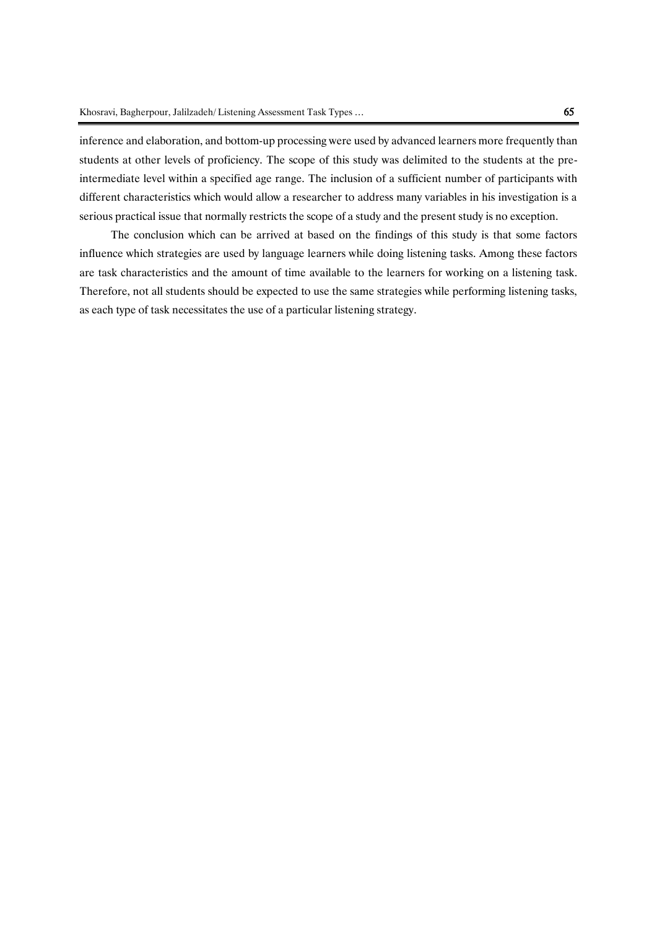inference and elaboration, and bottom-up processing were used by advanced learners more frequently than students at other levels of proficiency. The scope of this study was delimited to the students at the preintermediate level within a specified age range. The inclusion of a sufficient number of participants with different characteristics which would allow a researcher to address many variables in his investigation is a serious practical issue that normally restricts the scope of a study and the present study is no exception.

The conclusion which can be arrived at based on the findings of this study is that some factors influence which strategies are used by language learners while doing listening tasks. Among these factors are task characteristics and the amount of time available to the learners for working on a listening task. Therefore, not all students should be expected to use the same strategies while performing listening tasks, as each type of task necessitates the use of a particular listening strategy.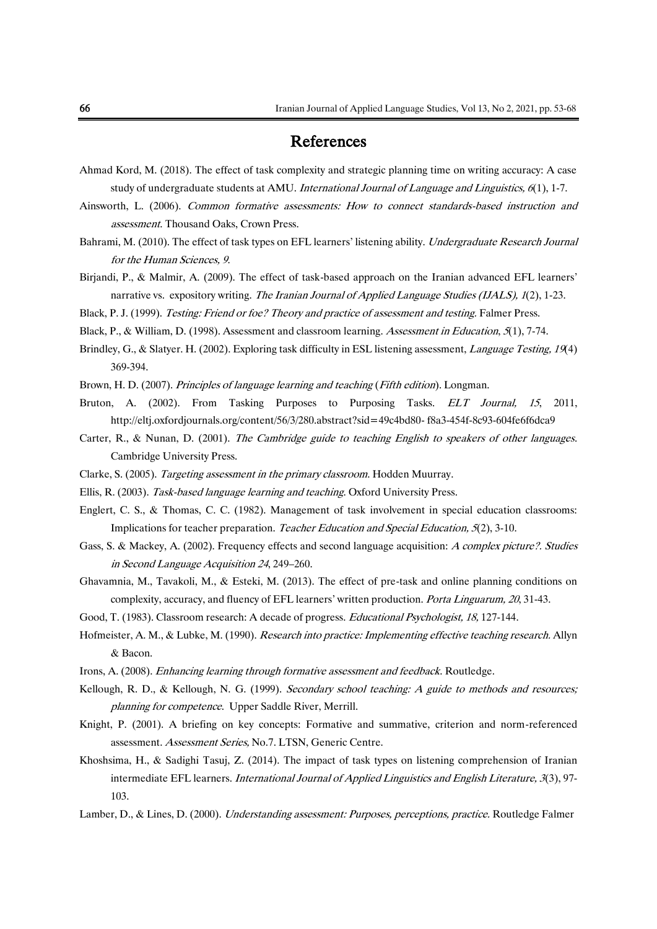## References

- Ahmad Kord, M. (2018). The effect of task complexity and strategic planning time on writing accuracy: A case study of undergraduate students at AMU. International Journal of Language and Linguistics,  $6(1)$ , 1-7.
- Ainsworth, L. (2006). Common formative assessments: How to connect standards-based instruction and assessment. Thousand Oaks, Crown Press.
- Bahrami, M. (2010). The effect of task types on EFL learners' listening ability. Undergraduate Research Journal for the Human Sciences, 9.
- Birjandi, P., & Malmir, A. (2009). The effect of task-based approach on the Iranian advanced EFL learners' narrative vs. expository writing. The Iranian Journal of Applied Language Studies (IJALS), 1(2), 1-23.
- Black, P. J. (1999). Testing: Friend or foe? Theory and practice of assessment and testing. Falmer Press.
- Black, P., & William, D. (1998). Assessment and classroom learning. Assessment in Education, 5(1), 7-74.
- Brindley, G., & Slatyer. H. (2002). Exploring task difficulty in ESL listening assessment, *Language Testing*, 19(4) 369-394.
- Brown, H. D. (2007). Principles of language learning and teaching (Fifth edition). Longman.
- Bruton, A. (2002). From Tasking Purposes to Purposing Tasks. ELT Journal, <sup>15</sup>, 2011, <http://eltj.oxfordjournals.org/content/56/3/280.abstract?sid=49c4bd80-> f8a3-454f-8c93-604fe6f6dca9
- Carter, R., & Nunan, D. (2001). The Cambridge guide to teaching English to speakers of other languages. Cambridge University Press.
- Clarke, S. (2005). Targeting assessment in the primary classroom. Hodden Muurray.
- Ellis, R. (2003). Task-based language learning and teaching. Oxford University Press.
- Englert, C. S., & Thomas, C. C. (1982). Management of task involvement in special education classrooms: Implications for teacher preparation. Teacher Education and Special Education, 5(2), 3-10.
- Gass, S. & Mackey, A. (2002). Frequency effects and second language acquisition: A complex picture?. Studies in Second Language Acquisition <sup>24</sup>, 249–260.
- Ghavamnia, M., Tavakoli, M., & Esteki, M. (2013). The effect of pre-task and online planning conditions on complexity, accuracy, and fluency of EFL learners' written production. Porta Linguarum, 20, 31-43.
- Good, T. (1983). Classroom research: A decade of progress. *Educational Psychologist, 18*, 127-144.
- Hofmeister, A. M., & Lubke, M. (1990). Research into practice: Implementing effective teaching research. Allyn & Bacon.
- Irons, A. (2008). Enhancing learning through formative assessment and feedback. Routledge.
- Kellough, R. D., & Kellough, N. G. (1999). Secondary school teaching: A guide to methods and resources; planning for competence. Upper Saddle River, Merrill.
- Knight, P. (2001). A briefing on key concepts: Formative and summative, criterion and norm-referenced assessment. Assessment Series, No.7. LTSN, Generic Centre.
- Khoshsima, H., & Sadighi Tasuj, Z. (2014). The impact of task types on listening comprehension of Iranian intermediate EFL learners. International Journal of Applied Linguistics and English Literature, 3(3), 97- 103.
- Lamber, D., & Lines, D. (2000). Understanding assessment: Purposes, perceptions, practice. Routledge Falmer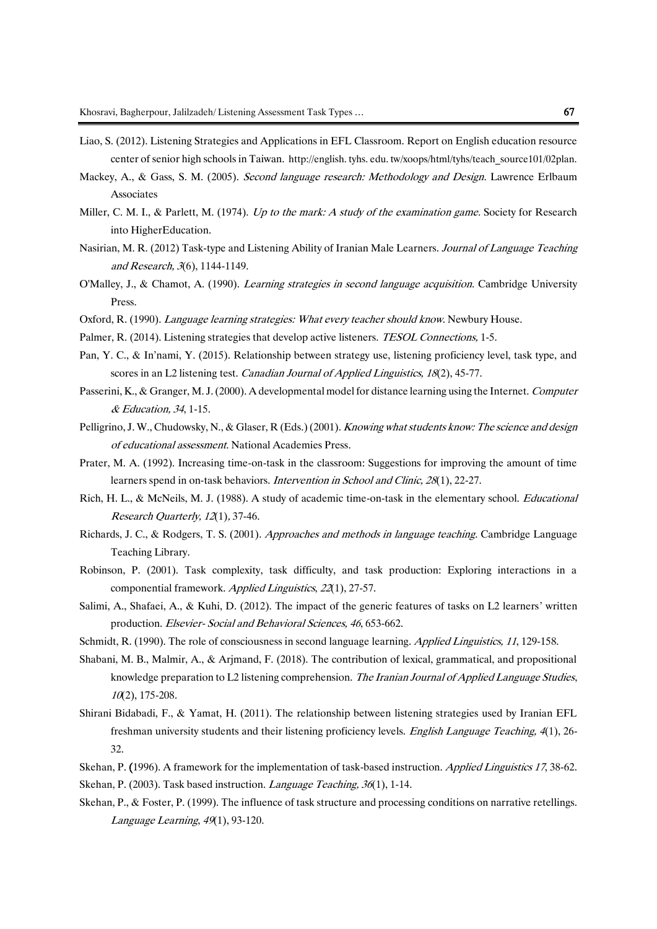- Liao, S. (2012). Listening Strategies and Applications in EFL Classroom. Report on English education resource center of senior high schools in Taiwan. http://english. tyhs. edu. tw/xoops/html/tyhs/teach\_source101/02plan.
- Mackey, A., & Gass, S. M. (2005). Second language research: Methodology and Design. Lawrence Erlbaum Associates
- Miller, C. M. I., & Parlett, M. (1974). Up to the mark: A study of the examination game. Society for Research into HigherEducation.
- Nasirian, M. R. (2012) Task-type and Listening Ability of Iranian Male Learners. Journal of Language Teaching and Research, 3(6), 1144-1149.
- O'Malley, J., & Chamot, A. (1990). Learning strategies in second language acquisition. Cambridge University Press.
- Oxford, R. (1990). Language learning strategies: What every teacher should know. Newbury House.
- Palmer, R. (2014). Listening strategies that develop active listeners. *TESOL Connections*, 1-5.
- Pan, Y. C., & In'nami, Y. (2015). Relationship between strategy use, listening proficiency level, task type, and scores in an L2 listening test. *Canadian Journal of Applied Linguistics*, 18(2), 45-77.
- Passerini, K., & Granger, M. J. (2000). A developmental model for distance learning using the Internet. Computer & Education, 34, 1-15.
- Pelligrino, J. W., Chudowsky, N., & Glaser, R (Eds.) (2001). Knowing what students know: The science and design of educational assessment. National Academies Press.
- Prater, M. A. (1992). Increasing time-on-task in the classroom: Suggestions for improving the amount of time learners spend in on-task behaviors. Intervention in School and Clinic, 28(1), 22-27.
- Rich, H. L., & McNeils, M. J. (1988). A study of academic time-on-task in the elementary school. *Educational* Research Quarterly, 12(1), 37-46.
- Richards, J. C., & Rodgers, T. S. (2001). Approaches and methods in language teaching. Cambridge Language Teaching Library.
- Robinson, P. (2001). Task complexity, task difficulty, and task production: Exploring interactions in a componential framework. Applied Linguistics, 22(1), 27-57.
- Salimi, A., Shafaei, A., & Kuhi, D. (2012). The impact of the generic features of tasks on L2 learners' written production. Elsevier- Social and Behavioral Sciences, 46, 653-662.
- Schmidt, R. (1990). The role of consciousness in second language learning. Applied Linguistics, 11, 129-158.
- Shabani, M. B., Malmir, A., & Arjmand, F. (2018). The contribution of lexical, grammatical, and propositional knowledge preparation to L2 listening comprehension. The Iranian Journal of Applied Language Studies,  $10(2)$ , 175-208.
- Shirani Bidabadi, F., & Yamat, H. (2011). The relationship between listening strategies used by Iranian EFL freshman university students and their listening proficiency levels. English Language Teaching, 4(1), 26- 32.
- Skehan, P. (1996). A framework for the implementation of task-based instruction. Applied Linguistics 17, 38-62. Skehan, P. (2003). Task based instruction. *Language Teaching*, 36(1), 1-14.
- Skehan, P., & Foster, P. (1999). The influence of task structure and processing conditions on narrative retellings. Language Learning, 49(1), 93-120.